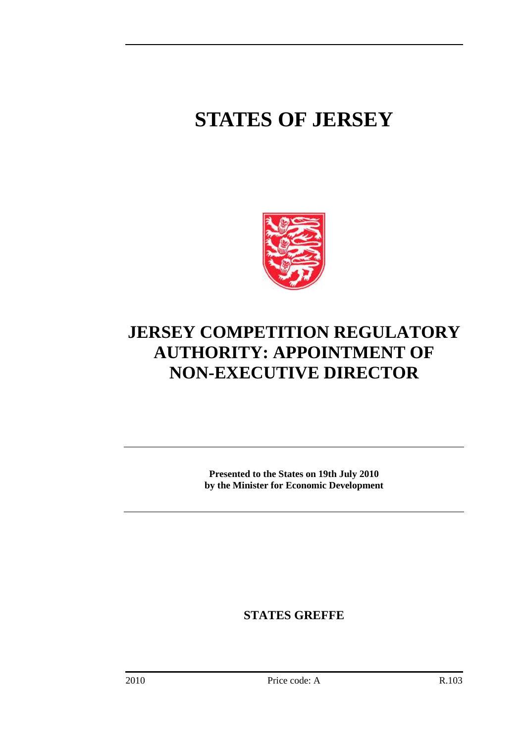## **STATES OF JERSEY**



## **JERSEY COMPETITION REGULATORY AUTHORITY: APPOINTMENT OF NON-EXECUTIVE DIRECTOR**

**Presented to the States on 19th July 2010 by the Minister for Economic Development** 

**STATES GREFFE**